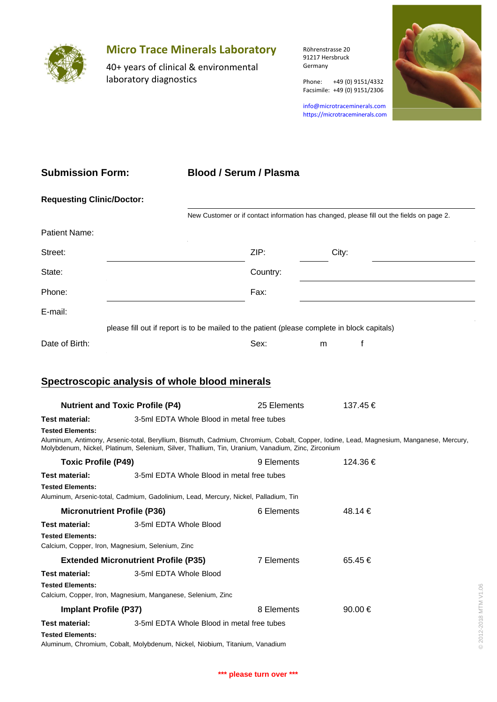

# **Micro Trace Minerals Laboratory**

40+ years of clinical & environmental laboratory diagnostics

Röhrenstrasse 20 91217 Hersbruck Germany

Phone: +49 (0) 9151/4332

info@microtraceminerals.com <https://microtraceminerals.com>

Facsimile: +49 (0) 9151/2306



### **Submission Form:**

### **Blood / Serum / Plasma**

| <b>Requesting Clinic/Doctor:</b> |                                                                                              |          |       |  |  |  |  |  |
|----------------------------------|----------------------------------------------------------------------------------------------|----------|-------|--|--|--|--|--|
|                                  | New Customer or if contact information has changed, please fill out the fields on page 2.    |          |       |  |  |  |  |  |
| Patient Name:                    |                                                                                              |          |       |  |  |  |  |  |
| Street:                          |                                                                                              | ZIP:     | City: |  |  |  |  |  |
| State:                           |                                                                                              | Country: |       |  |  |  |  |  |
| Phone:                           |                                                                                              | Fax:     |       |  |  |  |  |  |
| E-mail:                          |                                                                                              |          |       |  |  |  |  |  |
|                                  | please fill out if report is to be mailed to the patient (please complete in block capitals) |          |       |  |  |  |  |  |
| Date of Birth:                   |                                                                                              | Sex:     | m     |  |  |  |  |  |

## **Spectroscopic analysis of whole blood minerals**

| <b>Nutrient and Toxic Profile (P4)</b>                                                               |                                                                                                                           | 25 Elements | 137.45 €                                                                                                                               |                                |
|------------------------------------------------------------------------------------------------------|---------------------------------------------------------------------------------------------------------------------------|-------------|----------------------------------------------------------------------------------------------------------------------------------------|--------------------------------|
| Test material:                                                                                       | 3-5ml EDTA Whole Blood in metal free tubes                                                                                |             |                                                                                                                                        |                                |
| <b>Tested Elements:</b>                                                                              | Molybdenum, Nickel, Platinum, Selenium, Silver, Thallium, Tin, Uranium, Vanadium, Zinc, Zirconium                         |             | Aluminum, Antimony, Arsenic-total, Beryllium, Bismuth, Cadmium, Chromium, Cobalt, Copper, Iodine, Lead, Magnesium, Manganese, Mercury, |                                |
| <b>Toxic Profile (P49)</b>                                                                           |                                                                                                                           | 9 Elements  | 124.36€                                                                                                                                |                                |
| <b>Test material:</b>                                                                                | 3-5ml EDTA Whole Blood in metal free tubes                                                                                |             |                                                                                                                                        |                                |
| <b>Tested Elements:</b>                                                                              | Aluminum, Arsenic-total, Cadmium, Gadolinium, Lead, Mercury, Nickel, Palladium, Tin                                       |             |                                                                                                                                        |                                |
| <b>Micronutrient Profile (P36)</b>                                                                   |                                                                                                                           | 6 Elements  | 48.14 €                                                                                                                                |                                |
| <b>Test material:</b><br><b>Tested Elements:</b><br>Calcium, Copper, Iron, Magnesium, Selenium, Zinc | 3-5ml EDTA Whole Blood                                                                                                    |             |                                                                                                                                        |                                |
| <b>Extended Micronutrient Profile (P35)</b>                                                          |                                                                                                                           | 7 Elements  | 65.45€                                                                                                                                 |                                |
| <b>Test material:</b><br><b>Tested Elements:</b>                                                     | 3-5ml EDTA Whole Blood<br>Calcium, Copper, Iron, Magnesium, Manganese, Selenium, Zinc                                     |             |                                                                                                                                        |                                |
| <b>Implant Profile (P37)</b>                                                                         |                                                                                                                           | 8 Elements  | 90.00 $\in$                                                                                                                            |                                |
| Test material:<br><b>Tested Elements:</b>                                                            | 3-5ml EDTA Whole Blood in metal free tubes<br>Aluminum, Chromium, Cobalt, Molybdenum, Nickel, Niobium, Titanium, Vanadium |             |                                                                                                                                        | 2012-2018 MTM V1.06<br>$\odot$ |
|                                                                                                      |                                                                                                                           |             |                                                                                                                                        |                                |